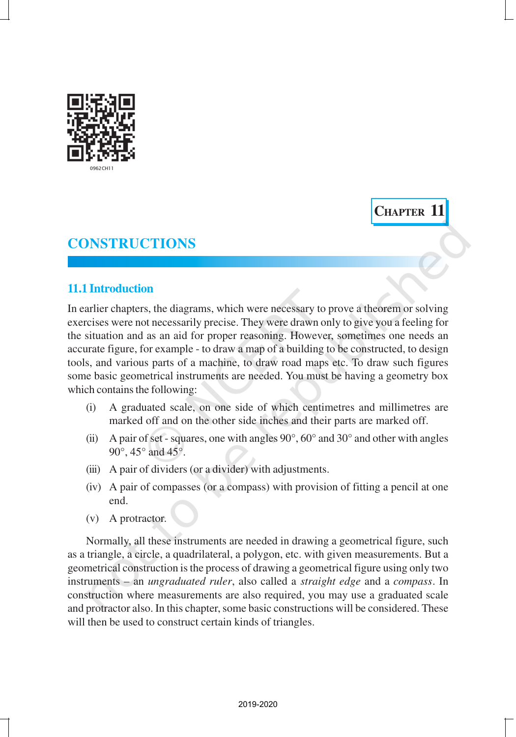

**CHAPTER 11**

# **CONSTRUCTIONS**

## **11.1 Introduction**

In earlier chapters, the diagrams, which were necessary to prove a theorem or solving exercises were not necessarily precise. They were drawn only to give you a feeling for the situation and as an aid for proper reasoning. However, sometimes one needs an accurate figure, for example - to draw a map of a building to be constructed, to design tools, and various parts of a machine, to draw road maps etc. To draw such figures some basic geometrical instruments are needed. You must be having a geometry box which contains the following:

- (i) A graduated scale, on one side of which centimetres and millimetres are marked off and on the other side inches and their parts are marked off.
- (ii) A pair of set squares, one with angles  $90^\circ$ ,  $60^\circ$  and  $30^\circ$  and other with angles 90°, 45° and 45°.
- (iii) A pair of dividers (or a divider) with adjustments.
- (iv) A pair of compasses (or a compass) with provision of fitting a pencil at one end.
- (v) A protractor.

Normally, all these instruments are needed in drawing a geometrical figure, such as a triangle, a circle, a quadrilateral, a polygon, etc. with given measurements. But a geometrical construction is the process of drawing a geometrical figure using only two instruments – an *ungraduated ruler*, also called a *straight edge* and a *compass*. In construction where measurements are also required, you may use a graduated scale and protractor also. In this chapter, some basic constructions will be considered. These will then be used to construct certain kinds of triangles.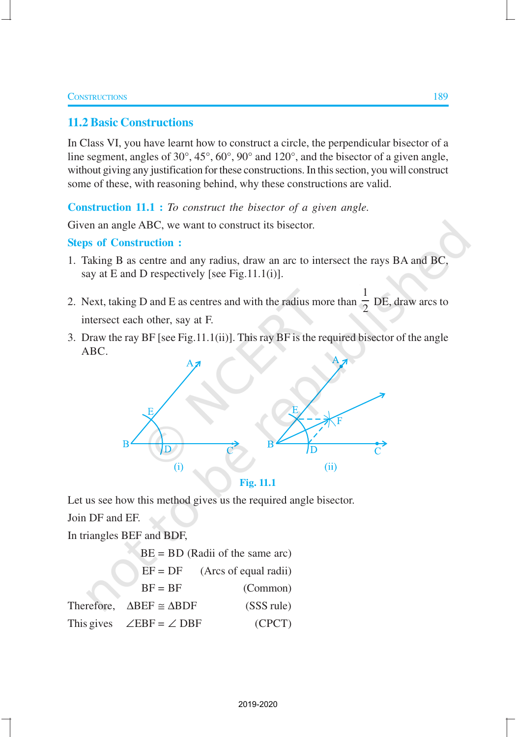### **11.2 Basic Constructions**

In Class VI, you have learnt how to construct a circle, the perpendicular bisector of a line segment, angles of 30°, 45°, 60°, 90° and 120°, and the bisector of a given angle, without giving any justification for these constructions. In this section, you will construct some of these, with reasoning behind, why these constructions are valid.

**Construction 11.1 :** *To construct the bisector of a given angle.*

Given an angle ABC, we want to construct its bisector.

#### **Steps of Construction :**

- 1. Taking B as centre and any radius, draw an arc to intersect the rays BA and BC, say at E and D respectively [see Fig.11.1(i)].
- 2. Next, taking D and E as centres and with the radius more than 1  $\frac{1}{2}$  DE, draw arcs to intersect each other, say at F.
- 3. Draw the ray BF [see Fig.11.1(ii)]. This ray BF is the required bisector of the angle ABC.



**Fig. 11.1**

Let us see how this method gives us the required angle bisector.

Join DF and EF.

In triangles BEF and BDF,

| $BE = BD$ (Radii of the same arc)              |                       |
|------------------------------------------------|-----------------------|
| $EF = DF$                                      | (Arcs of equal radii) |
| $BF = BF$                                      | (Common)              |
| Therefore, $\triangle DEF \cong \triangle BDF$ | (SSS rule)            |
| This gives $\angle EBF = \angle DBF$           | (CPCT)                |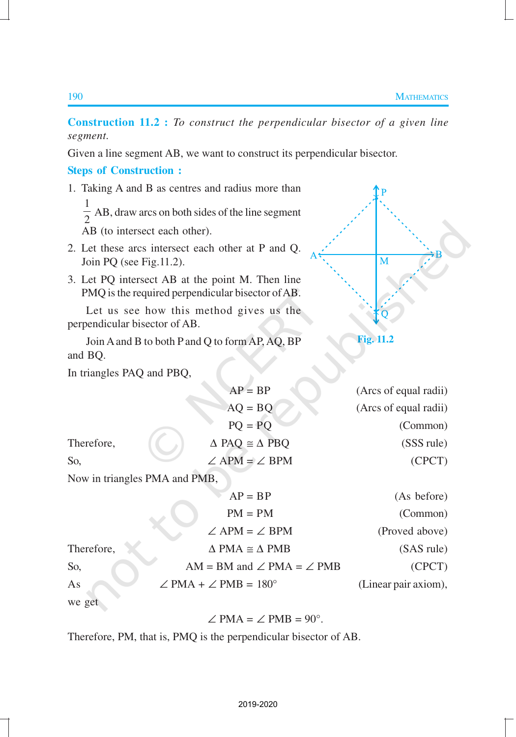**Construction 11.2 :** *To construct the perpendicular bisector of a given line segment.*

Given a line segment AB, we want to construct its perpendicular bisector.

### **Steps of Construction :**

1. Taking A and B as centres and radius more than 1

 $\frac{1}{2}$  AB, draw arcs on both sides of the line segment AB (to intersect each other).

- 2. Let these arcs intersect each other at P and Q. Join PQ (see Fig.11.2).
- 3. Let PQ intersect AB at the point M. Then line PMQ is the required perpendicular bisector of AB.

Let us see how this method gives us the perpendicular bisector of AB.

Join A and B to both P and Q to form AP, AQ, BP and BQ.

In triangles PAQ and PBQ,

|            | $AP = BP$                             | (Arcs of equal radii) |
|------------|---------------------------------------|-----------------------|
|            | $AQ = BQ$                             | (Arcs of equal radii) |
|            | $PQ = PQ$                             | (Common)              |
| Therefore, | $\triangle$ PAQ $\cong \triangle$ PBQ | (SSS rule)            |
| So.        | $\angle$ APM = $\angle$ BPM           | (CPCT)                |
|            |                                       |                       |

Now in triangles PMA and PMB,

|            | $AP = BP$                               | (As before)          |
|------------|-----------------------------------------|----------------------|
|            | $PM = PM$                               | (Common)             |
|            | $\angle$ APM = $\angle$ BPM             | (Proved above)       |
| Therefore, | $\triangle$ PMA $\cong$ $\triangle$ PMB | (SAS rule)           |
| So,        | AM = BM and $\angle$ PMA = $\angle$ PMB | (CPCT)               |
| As         | $\angle$ PMA + $\angle$ PMB = 180°      | (Linear pair axiom), |
| we get     |                                         |                      |

 $\angle$  PMA =  $\angle$  PMB = 90°.

Therefore, PM, that is, PMQ is the perpendicular bisector of AB.



**Fig. 11.2**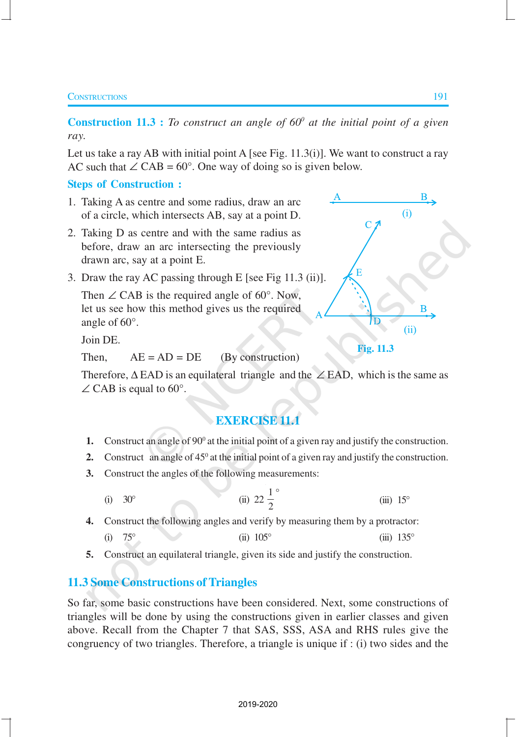**Construction 11.3 :** *To construct an angle of 60<sup>°</sup> at the initial point of a given ray.*

Let us take a ray AB with initial point A [see Fig. 11.3(i)]. We want to construct a ray AC such that  $\angle$  CAB = 60°. One way of doing so is given below.

#### **Steps of Construction :**

- 1. Taking A as centre and some radius, draw an arc of a circle, which intersects AB, say at a point D.
- 2. Taking D as centre and with the same radius as before, draw an arc intersecting the previously drawn arc, say at a point E.
- 3. Draw the ray AC passing through E [see Fig 11.3 (ii)].

Then  $\angle$  CAB is the required angle of 60 $^{\circ}$ . Now, let us see how this method gives us the required angle of 60°.

Join DE.

Then,  $AE = AD = DE$  (By construction)

Therefore,  $\triangle$  EAD is an equilateral triangle and the  $\angle$  EAD, which is the same as  $\angle$  CAB is equal to 60°.

## **EXERCISE 11.1**

- **1.** Construct an angle of  $90^\circ$  at the initial point of a given ray and justify the construction.
- **2.** Construct an angle of  $45^\circ$  at the initial point of a given ray and justify the construction.
- **3.** Construct the angles of the following measurements:
	- (i) 30° (ii) 22  $\frac{1}{2}$ 2  $^{\circ}$  $(iii)$  15 $\degree$
- **4.** Construct the following angles and verify by measuring them by a protractor: (i)  $75^{\circ}$  (ii)  $105^{\circ}$  (iii)  $135^{\circ}$
- **5.** Construct an equilateral triangle, given its side and justify the construction.

#### **11.3 Some Constructions of Triangles**

So far, some basic constructions have been considered. Next, some constructions of triangles will be done by using the constructions given in earlier classes and given above. Recall from the Chapter 7 that SAS, SSS, ASA and RHS rules give the congruency of two triangles. Therefore, a triangle is unique if : (i) two sides and the

B

R

 $(ii)$ 

 $(i)$ 

**Fig. 11.3**

E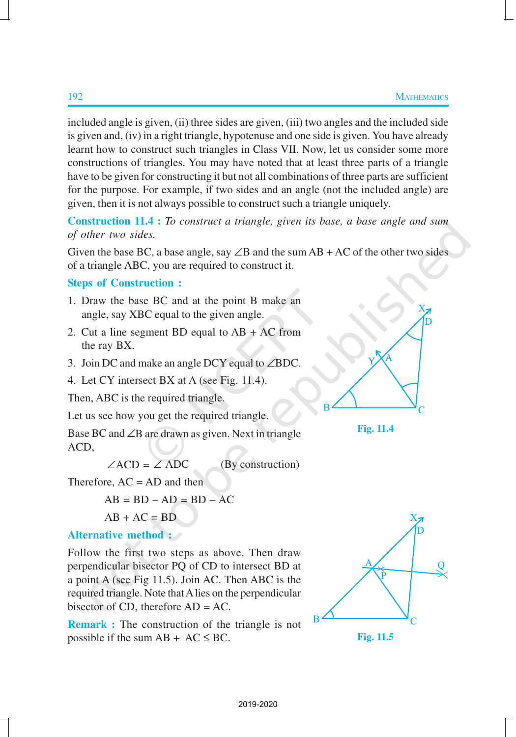included angle is given, (ii) three sides are given, (iii) two angles and the included side is given and, (iv) in a right triangle, hypotenuse and one side is given. You have already learnt how to construct such triangles in Class VII. Now, let us consider some more constructions of triangles. You may have noted that at least three parts of a triangle have to be given for constructing it but not all combinations of three parts are sufficient for the purpose. For example, if two sides and an angle (not the included angle) are given, then it is not always possible to construct such a triangle uniquely.

**Construction 11.4 :** *To construct a triangle, given its base, a base angle and sum of other two sides.*

Given the base BC, a base angle, say  $\angle B$  and the sum AB + AC of the other two sides of a triangle ABC, you are required to construct it.

#### **Steps of Construction :**

- 1. Draw the base BC and at the point B make an angle, say XBC equal to the given angle.
- 2. Cut a line segment BD equal to AB + AC from the ray BX.
- 3. Join DC and make an angle DCY equal to ∠BDC.
- 4. Let CY intersect BX at A (see Fig. 11.4).

Then, ABC is the required triangle.

Let us see how you get the required triangle.

Base BC and ∠B are drawn as given. Next in triangle ACD,

 $\angle ACD = \angle ADC$  (By construction)

Therefore,  $AC = AD$  and then

$$
AB = BD - AD = BD - AC
$$

$$
AB + AC = BD
$$

### **Alternative method :**

Follow the first two steps as above. Then draw perpendicular bisector PQ of CD to intersect BD at a point A (see Fig 11.5). Join AC. Then ABC is the required triangle. Note that A lies on the perpendicular bisector of CD, therefore AD = AC.

**Remark :** The construction of the triangle is not possible if the sum  $AB + AC \le BC$ .



**Fig. 11.5**



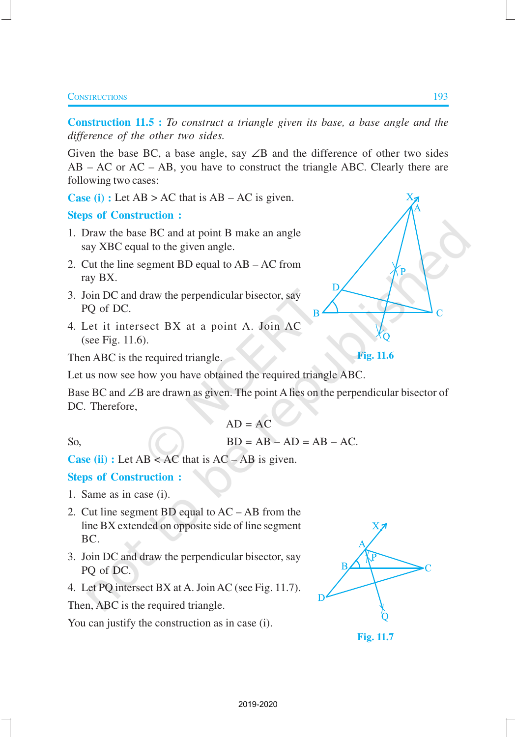#### **CONSTRUCTIONS** 193

**Construction 11.5 :** *To construct a triangle given its base, a base angle and the difference of the other two sides.*

Given the base BC, a base angle, say  $\angle B$  and the difference of other two sides  $AB - AC$  or  $AC - AB$ , you have to construct the triangle ABC. Clearly there are following two cases:

**Case (i) :** Let  $AB > AC$  that is  $AB - AC$  is given.

**Steps of Construction :**

- 1. Draw the base BC and at point B make an angle say XBC equal to the given angle.
- 2. Cut the line segment BD equal to AB AC from ray BX.
- 3. Join DC and draw the perpendicular bisector, say PQ of DC.
- 4. Let it intersect BX at a point A. Join AC (see Fig. 11.6).

Then ABC is the required triangle.

Let us now see how you have obtained the required triangle ABC.

Base BC and ∠B are drawn as given. The point A lies on the perpendicular bisector of DC. Therefore,

$$
AD = AC
$$
  
So,  

$$
BD = AB - AD = AB - AC.
$$

```
Case (ii) : Let AB < AC that is AC – AB is given.
```
#### **Steps of Construction :**

- 1. Same as in case (i).
- 2. Cut line segment BD equal to AC AB from the line BX extended on opposite side of line segment BC.
- 3. Join DC and draw the perpendicular bisector, say PQ of DC.
- 4. Let PQ intersect BX at A. Join AC (see Fig. 11.7).

Then, ABC is the required triangle.

You can justify the construction as in case (i).

**Fig. 11.7**

**Fig. 11.6**

Г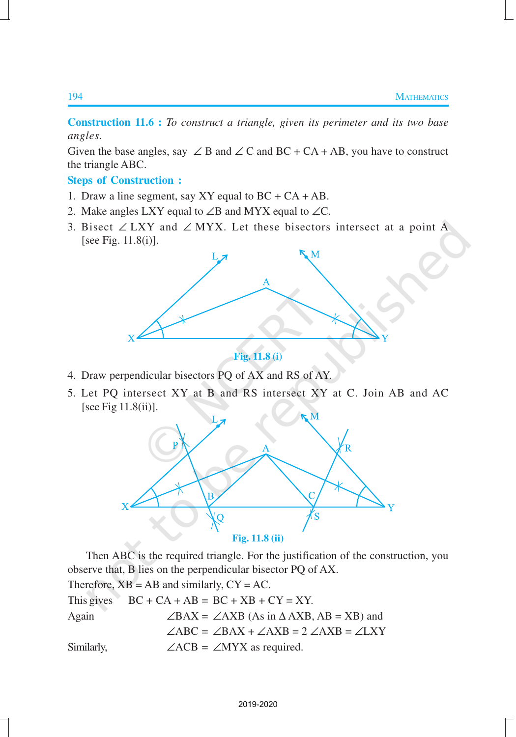**Construction 11.6 :** *To construct a triangle, given its perimeter and its two base angles.*

Given the base angles, say  $\angle$  B and  $\angle$  C and BC + CA + AB, you have to construct the triangle ABC.

#### **Steps of Construction :**

- 1. Draw a line segment, say XY equal to  $BC + CA + AB$ .
- 2. Make angles LXY equal to ∠B and MYX equal to ∠C.
- 3. Bisect ∠ LXY and ∠ MYX. Let these bisectors intersect at a point  $\overline{A}$ [see Fig. 11.8(i)].



**Fig. 11.8 (i)**

- 4. Draw perpendicular bisectors PQ of AX and RS of AY.
- 5. Let PQ intersect XY at B and RS intersect XY at C. Join AB and AC [see Fig 11.8(ii)].



Then ABC is the required triangle. For the justification of the construction, you observe that, B lies on the perpendicular bisector PQ of AX.

Therefore,  $XB = AB$  and similarly,  $CY = AC$ .

|            | This gives $BC + CA + AB = BC + XB + CY = XY$ .                    |
|------------|--------------------------------------------------------------------|
| Again      | $\angle BAX = \angle AXB$ (As in $\triangle AXB$ , AB = XB) and    |
|            | $\angle ABC = \angle BAX + \angle AXB = 2 \angle AXB = \angle LXY$ |
| Similarly, | $\angle ACB = \angle MYX$ as required.                             |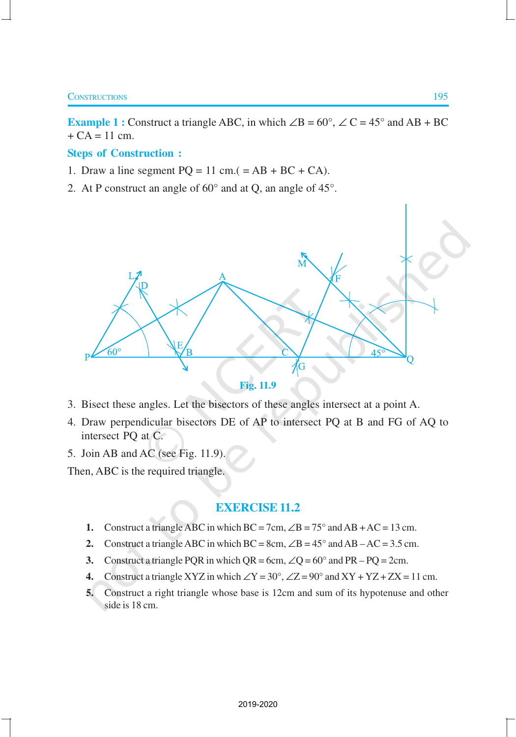#### **CONSTRUCTIONS** 195

**Example 1 :** Construct a triangle ABC, in which  $\angle B = 60^\circ$ ,  $\angle C = 45^\circ$  and AB + BC  $+ CA = 11$  cm.

#### **Steps of Construction :**

- 1. Draw a line segment  $PQ = 11$  cm.( = AB + BC + CA).
- 2. At P construct an angle of 60° and at Q, an angle of 45°.





- 3. Bisect these angles. Let the bisectors of these angles intersect at a point A.
- 4. Draw perpendicular bisectors DE of AP to intersect PQ at B and FG of AQ to intersect PQ at C.
- 5. Join AB and AC (see Fig. 11.9).

Then, ABC is the required triangle.

#### **EXERCISE 11.2**

- **1.** Construct a triangle ABC in which  $BC = 7cm$ ,  $\angle B = 75^\circ$  and  $AB + AC = 13$  cm.
- **2.** Construct a triangle ABC in which  $BC = 8cm$ ,  $\angle B = 45^\circ$  and  $AB AC = 3.5$  cm.
- **3.** Construct a triangle PQR in which  $QR = 6cm$ ,  $\angle Q = 60^{\circ}$  and  $PR PQ = 2cm$ .
- **4.** Construct a triangle XYZ in which  $\angle$ Y = 30°,  $\angle$ Z = 90° and XY + YZ + ZX = 11 cm.
- **5.** Construct a right triangle whose base is 12cm and sum of its hypotenuse and other side is 18 cm.